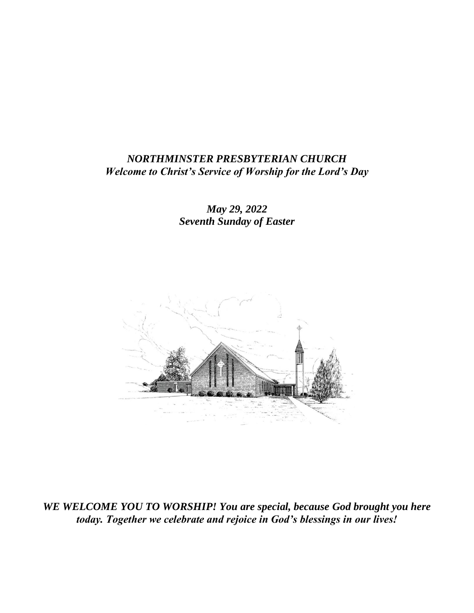### *NORTHMINSTER PRESBYTERIAN CHURCH Welcome to Christ's Service of Worship for the Lord's Day*

*May 29, 2022 Seventh Sunday of Easter*



*WE WELCOME YOU TO WORSHIP! You are special, because God brought you here today. Together we celebrate and rejoice in God's blessings in our lives!*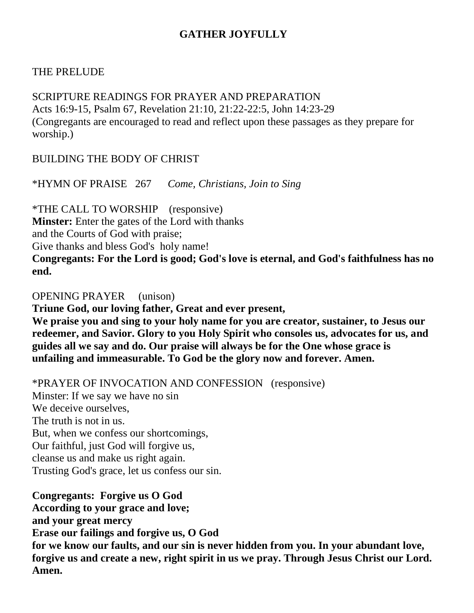# **GATHER JOYFULLY**

# THE PRELUDE

SCRIPTURE READINGS FOR PRAYER AND PREPARATION Acts 16:9-15, Psalm 67, Revelation 21:10, 21:22-22:5, John 14:23-29 (Congregants are encouraged to read and reflect upon these passages as they prepare for worship.)

BUILDING THE BODY OF CHRIST

\*HYMN OF PRAISE 267 *Come, Christians, Join to Sing*

\*THE CALL TO WORSHIP (responsive) **Minster:** Enter the gates of the Lord with thanks and the Courts of God with praise; Give thanks and bless God's holy name! **Congregants: For the Lord is good; God's love is eternal, and God's faithfulness has no end.**

OPENING PRAYER (unison)

**Triune God, our loving father, Great and ever present,**

**We praise you and sing to your holy name for you are creator, sustainer, to Jesus our redeemer, and Savior. Glory to you Holy Spirit who consoles us, advocates for us, and guides all we say and do. Our praise will always be for the One whose grace is unfailing and immeasurable. To God be the glory now and forever. Amen.**

\*PRAYER OF INVOCATION AND CONFESSION (responsive)

Minster: If we say we have no sin We deceive ourselves, The truth is not in us. But, when we confess our shortcomings, Our faithful, just God will forgive us, cleanse us and make us right again. Trusting God's grace, let us confess our sin.

**Congregants: Forgive us O God According to your grace and love; and your great mercy Erase our failings and forgive us, O God for we know our faults, and our sin is never hidden from you. In your abundant love, forgive us and create a new, right spirit in us we pray. Through Jesus Christ our Lord. Amen.**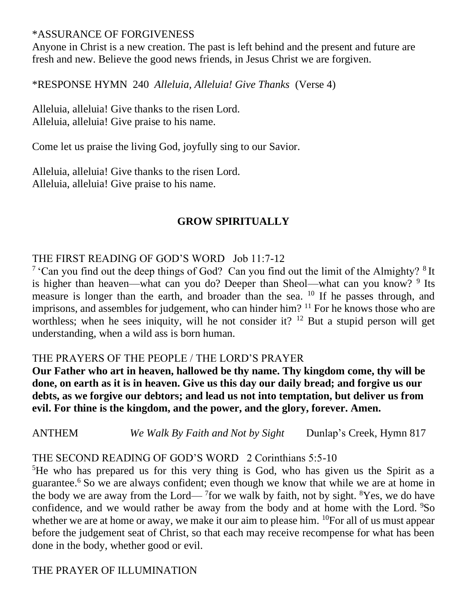#### \*ASSURANCE OF FORGIVENESS

Anyone in Christ is a new creation. The past is left behind and the present and future are fresh and new. Believe the good news friends, in Jesus Christ we are forgiven.

\*RESPONSE HYMN 240 *Alleluia, Alleluia! Give Thanks* (Verse 4)

Alleluia, alleluia! Give thanks to the risen Lord. Alleluia, alleluia! Give praise to his name.

Come let us praise the living God, joyfully sing to our Savior.

Alleluia, alleluia! Give thanks to the risen Lord. Alleluia, alleluia! Give praise to his name.

# **GROW SPIRITUALLY**

# THE FIRST READING OF GOD'S WORD Job 11:7-12

<sup>7</sup> 'Can you find out the deep things of God? Can you find out the limit of the Almighty? <sup>8</sup>It is higher than heaven—what can you do? Deeper than Sheol—what can you know? <sup>9</sup> Its measure is longer than the earth, and broader than the sea. <sup>10</sup> If he passes through, and imprisons, and assembles for judgement, who can hinder him?  $11$  For he knows those who are worthless; when he sees iniquity, will he not consider it?  $12$  But a stupid person will get understanding, when a wild ass is born human.

# THE PRAYERS OF THE PEOPLE / THE LORD'S PRAYER

**Our Father who art in heaven, hallowed be thy name. Thy kingdom come, thy will be done, on earth as it is in heaven. Give us this day our daily bread; and forgive us our debts, as we forgive our debtors; and lead us not into temptation, but deliver us from evil. For thine is the kingdom, and the power, and the glory, forever. Amen.**

ANTHEM *We Walk By Faith and Not by Sight* Dunlap's Creek, Hymn 817

THE SECOND READING OF GOD'S WORD 2 Corinthians 5:5-10

<sup>5</sup>He who has prepared us for this very thing is God, who has given us the Spirit as a guarantee.<sup>6</sup> So we are always confident; even though we know that while we are at home in the body we are away from the Lord— $7$  for we walk by faith, not by sight. <sup>8</sup>Yes, we do have confidence, and we would rather be away from the body and at home with the Lord. <sup>9</sup>So whether we are at home or away, we make it our aim to please him. <sup>10</sup>For all of us must appear before the judgement seat of Christ, so that each may receive recompense for what has been done in the body, whether good or evil.

THE PRAYER OF ILLUMINATION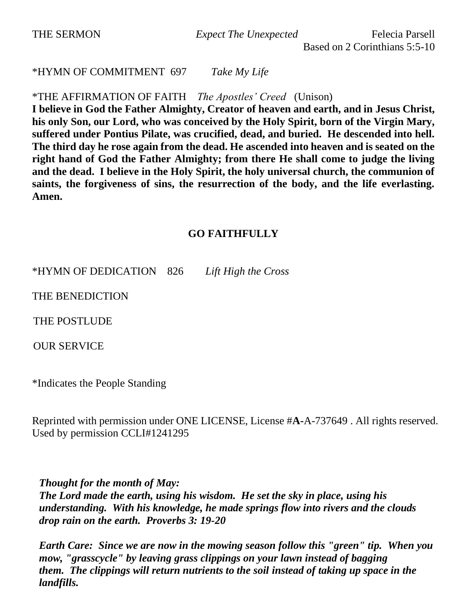THE SERMON *Expect The Unexpected* Felecia Parsell

Based on 2 Corinthians 5:5-10

\*HYMN OF COMMITMENT 697 *Take My Life* 

\*THE AFFIRMATION OF FAITH *The Apostles' Creed* (Unison)

**I believe in God the Father Almighty, Creator of heaven and earth, and in Jesus Christ, his only Son, our Lord, who was conceived by the Holy Spirit, born of the Virgin Mary, suffered under Pontius Pilate, was crucified, dead, and buried. He descended into hell. The third day he rose again from the dead. He ascended into heaven and is seated on the right hand of God the Father Almighty; from there He shall come to judge the living and the dead. I believe in the Holy Spirit, the holy universal church, the communion of saints, the forgiveness of sins, the resurrection of the body, and the life everlasting. Amen.**

#### **GO FAITHFULLY**

\*HYMN OF DEDICATION 826 *Lift High the Cross*

THE BENEDICTION

THE POSTLUDE

OUR SERVICE

\*Indicates the People Standing

Reprinted with permission under ONE LICENSE, License #**A-**A-737649 . All rights reserved. Used by permission CCLI#1241295

*Thought for the month of May: The Lord made the earth, using his wisdom. He set the sky in place, using his understanding. With his knowledge, he made springs flow into rivers and the clouds drop rain on the earth. Proverbs 3: 19-20*

*Earth Care: Since we are now in the mowing season follow this "green" tip. When you mow, "grasscycle" by leaving grass clippings on your lawn instead of bagging them. The clippings will return nutrients to the soil instead of taking up space in the landfills.*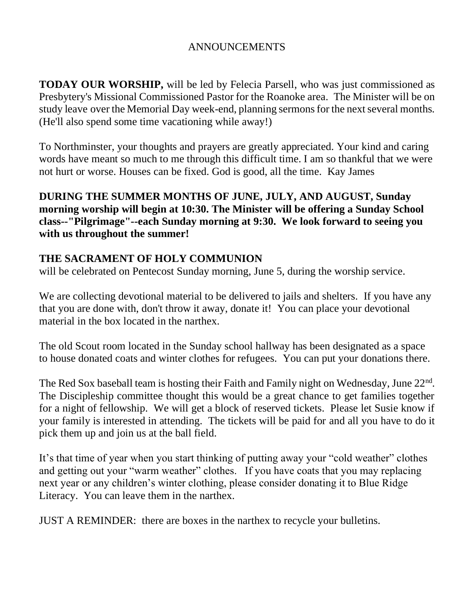# ANNOUNCEMENTS

**TODAY OUR WORSHIP,** will be led by Felecia Parsell, who was just commissioned as Presbytery's Missional Commissioned Pastor for the Roanoke area. The Minister will be on study leave over the Memorial Day week-end, planning sermons for the next several months. (He'll also spend some time vacationing while away!)

To Northminster, your thoughts and prayers are greatly appreciated. Your kind and caring words have meant so much to me through this difficult time. I am so thankful that we were not hurt or worse. Houses can be fixed. God is good, all the time. Kay James

**DURING THE SUMMER MONTHS OF JUNE, JULY, AND AUGUST, Sunday morning worship will begin at 10:30. The Minister will be offering a Sunday School class--"Pilgrimage"--each Sunday morning at 9:30. We look forward to seeing you with us throughout the summer!**

# **THE SACRAMENT OF HOLY COMMUNION**

will be celebrated on Pentecost Sunday morning, June 5, during the worship service.

We are collecting devotional material to be delivered to jails and shelters. If you have any that you are done with, don't throw it away, donate it! You can place your devotional material in the box located in the narthex.

The old Scout room located in the Sunday school hallway has been designated as a space to house donated coats and winter clothes for refugees. You can put your donations there.

The Red Sox baseball team is hosting their Faith and Family night on Wednesday, June 22<sup>nd</sup>. The Discipleship committee thought this would be a great chance to get families together for a night of fellowship. We will get a block of reserved tickets. Please let Susie know if your family is interested in attending. The tickets will be paid for and all you have to do it pick them up and join us at the ball field.

It's that time of year when you start thinking of putting away your "cold weather" clothes and getting out your "warm weather" clothes. If you have coats that you may replacing next year or any children's winter clothing, please consider donating it to Blue Ridge Literacy. You can leave them in the narthex.

JUST A REMINDER: there are boxes in the narthex to recycle your bulletins.